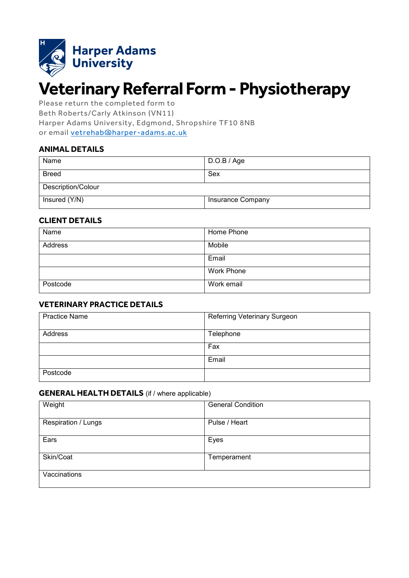

# **Veterinary Referral Form - Physiotherapy**

Please return the completed form to Beth Roberts/Carly Atkinson (VN11) Harper Adams University, Edgmond, Shropshire TF10 8NB or email [vetrehab@harper-adams.ac.uk](mailto:vetrehab@harper-adams.ac.uk)

# **ANIMAL DETAILS**

| Name               | D.O.B / Age       |  |
|--------------------|-------------------|--|
| <b>Breed</b>       | Sex               |  |
| Description/Colour |                   |  |
| Insured (Y/N)      | Insurance Company |  |

#### **CLIENT DETAILS**

| Name     | Home Phone |
|----------|------------|
| Address  | Mobile     |
|          | Email      |
|          | Work Phone |
| Postcode | Work email |

#### **VETERINARY PRACTICE DETAILS**

| <b>Practice Name</b> | Referring Veterinary Surgeon |  |
|----------------------|------------------------------|--|
| Address              | Telephone                    |  |
|                      | Fax                          |  |
|                      | Email                        |  |
| Postcode             |                              |  |

#### **GENERAL HEALTH DETAILS** (if / where applicable)

| Weight              | <b>General Condition</b> |
|---------------------|--------------------------|
| Respiration / Lungs | Pulse / Heart            |
| Ears                | Eyes                     |
| Skin/Coat           | Temperament              |
| Vaccinations        |                          |